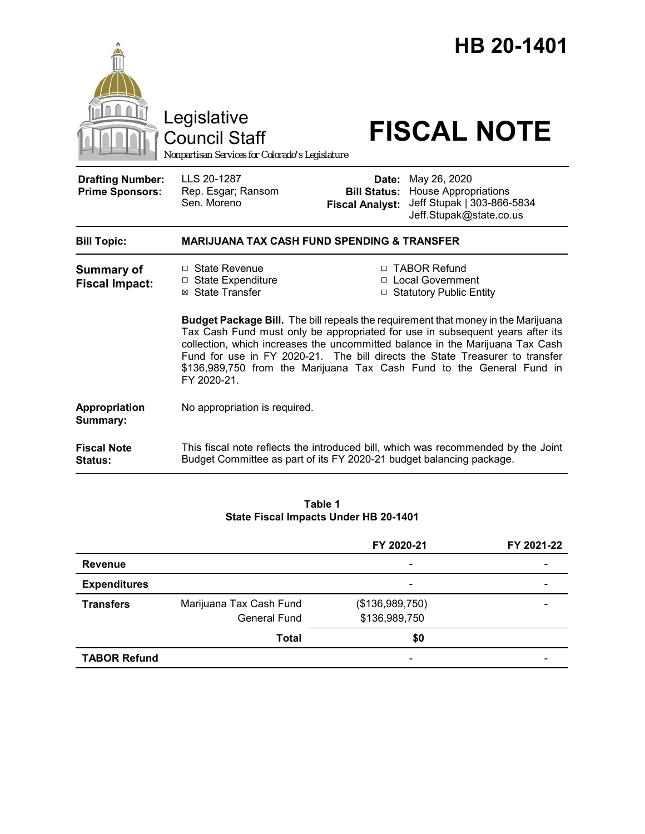|                                                   | Legislative<br><b>Council Staff</b><br>Nonpartisan Services for Colorado's Legislature                                                                                                                                                                                                                                                                                                                                             |                                                                   | HB 20-1401<br><b>FISCAL NOTE</b>                                                                                  |  |
|---------------------------------------------------|------------------------------------------------------------------------------------------------------------------------------------------------------------------------------------------------------------------------------------------------------------------------------------------------------------------------------------------------------------------------------------------------------------------------------------|-------------------------------------------------------------------|-------------------------------------------------------------------------------------------------------------------|--|
| <b>Drafting Number:</b><br><b>Prime Sponsors:</b> | LLS 20-1287<br>Rep. Esgar; Ransom<br>Sen. Moreno                                                                                                                                                                                                                                                                                                                                                                                   | Date:<br><b>Fiscal Analyst:</b>                                   | May 26, 2020<br><b>Bill Status: House Appropriations</b><br>Jeff Stupak   303-866-5834<br>Jeff.Stupak@state.co.us |  |
| <b>Bill Topic:</b>                                | <b>MARIJUANA TAX CASH FUND SPENDING &amp; TRANSFER</b>                                                                                                                                                                                                                                                                                                                                                                             |                                                                   |                                                                                                                   |  |
| <b>Summary of</b><br><b>Fiscal Impact:</b>        | □ State Revenue<br>□ State Expenditure<br>⊠ State Transfer                                                                                                                                                                                                                                                                                                                                                                         | □ TABOR Refund<br>□ Local Government<br>□ Statutory Public Entity |                                                                                                                   |  |
|                                                   | <b>Budget Package Bill.</b> The bill repeals the requirement that money in the Marijuana<br>Tax Cash Fund must only be appropriated for use in subsequent years after its<br>collection, which increases the uncommitted balance in the Marijuana Tax Cash<br>Fund for use in FY 2020-21. The bill directs the State Treasurer to transfer<br>\$136,989,750 from the Marijuana Tax Cash Fund to the General Fund in<br>FY 2020-21. |                                                                   |                                                                                                                   |  |
| Appropriation<br>Summary:                         | No appropriation is required.                                                                                                                                                                                                                                                                                                                                                                                                      |                                                                   |                                                                                                                   |  |
| <b>Fiscal Note</b><br><b>Status:</b>              | Budget Committee as part of its FY 2020-21 budget balancing package.                                                                                                                                                                                                                                                                                                                                                               |                                                                   | This fiscal note reflects the introduced bill, which was recommended by the Joint                                 |  |

### **Table 1 State Fiscal Impacts Under HB 20-1401**

|                     |                         | FY 2020-21               | FY 2021-22 |
|---------------------|-------------------------|--------------------------|------------|
| <b>Revenue</b>      |                         | $\overline{\phantom{a}}$ |            |
| <b>Expenditures</b> |                         | $\overline{\phantom{a}}$ |            |
| <b>Transfers</b>    | Marijuana Tax Cash Fund | (\$136,989,750)          |            |
|                     | <b>General Fund</b>     | \$136,989,750            |            |
|                     | <b>Total</b>            | \$0                      |            |
| <b>TABOR Refund</b> |                         | $\overline{\phantom{a}}$ |            |